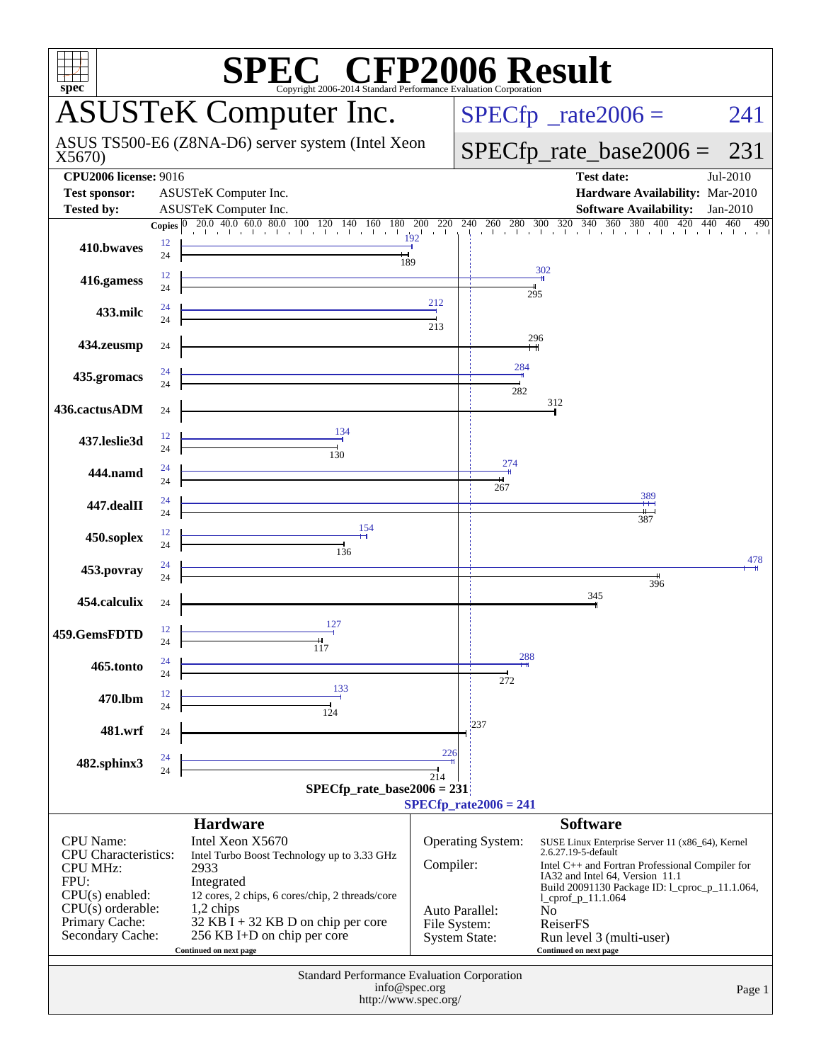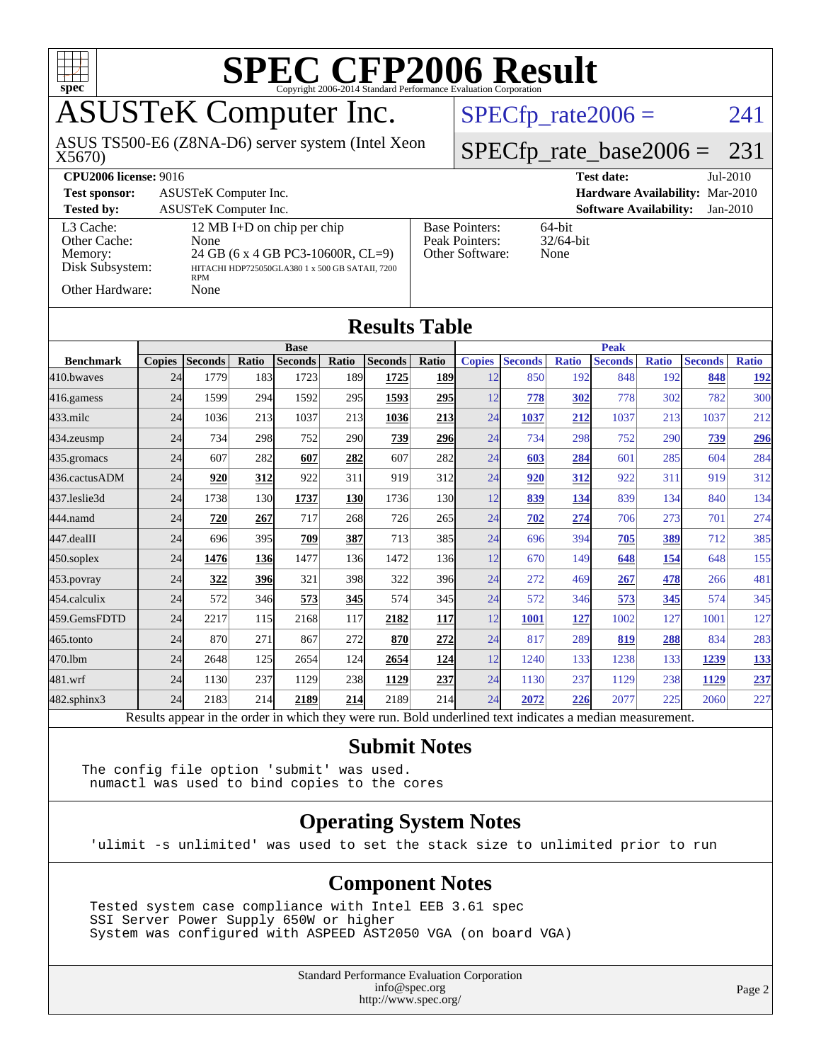

## ASUSTeK Computer Inc.

X5670) ASUS TS500-E6 (Z8NA-D6) server system (Intel Xeon  $SPECTp_rate2006 = 241$ 

#### [SPECfp\\_rate\\_base2006 =](http://www.spec.org/auto/cpu2006/Docs/result-fields.html#SPECfpratebase2006) 231

**[CPU2006 license:](http://www.spec.org/auto/cpu2006/Docs/result-fields.html#CPU2006license)** 9016 **[Test date:](http://www.spec.org/auto/cpu2006/Docs/result-fields.html#Testdate)** Jul-2010 **[Test sponsor:](http://www.spec.org/auto/cpu2006/Docs/result-fields.html#Testsponsor)** ASUSTeK Computer Inc. **[Hardware Availability:](http://www.spec.org/auto/cpu2006/Docs/result-fields.html#HardwareAvailability)** Mar-2010 **[Tested by:](http://www.spec.org/auto/cpu2006/Docs/result-fields.html#Testedby)** ASUSTeK Computer Inc. **[Software Availability:](http://www.spec.org/auto/cpu2006/Docs/result-fields.html#SoftwareAvailability)** Jan-2010 [L3 Cache:](http://www.spec.org/auto/cpu2006/Docs/result-fields.html#L3Cache) 12 MB I+D on chip per chip<br>Other Cache: None [Other Cache:](http://www.spec.org/auto/cpu2006/Docs/result-fields.html#OtherCache) [Memory:](http://www.spec.org/auto/cpu2006/Docs/result-fields.html#Memory) 24 GB (6 x 4 GB PC3-10600R, CL=9) [Disk Subsystem:](http://www.spec.org/auto/cpu2006/Docs/result-fields.html#DiskSubsystem) HITACHI HDP725050GLA380 1 x 500 GB SATAII, 7200 RPM [Other Hardware:](http://www.spec.org/auto/cpu2006/Docs/result-fields.html#OtherHardware) None [Base Pointers:](http://www.spec.org/auto/cpu2006/Docs/result-fields.html#BasePointers) 64-bit<br>Peak Pointers: 32/64-bit [Peak Pointers:](http://www.spec.org/auto/cpu2006/Docs/result-fields.html#PeakPointers) [Other Software:](http://www.spec.org/auto/cpu2006/Docs/result-fields.html#OtherSoftware) None

#### **[Results Table](http://www.spec.org/auto/cpu2006/Docs/result-fields.html#ResultsTable) [Benchmark](http://www.spec.org/auto/cpu2006/Docs/result-fields.html#Benchmark) [Copies](http://www.spec.org/auto/cpu2006/Docs/result-fields.html#Copies) [Seconds](http://www.spec.org/auto/cpu2006/Docs/result-fields.html#Seconds) [Ratio](http://www.spec.org/auto/cpu2006/Docs/result-fields.html#Ratio) [Seconds](http://www.spec.org/auto/cpu2006/Docs/result-fields.html#Seconds) [Ratio](http://www.spec.org/auto/cpu2006/Docs/result-fields.html#Ratio) [Seconds](http://www.spec.org/auto/cpu2006/Docs/result-fields.html#Seconds) [Ratio](http://www.spec.org/auto/cpu2006/Docs/result-fields.html#Ratio) Base [Copies](http://www.spec.org/auto/cpu2006/Docs/result-fields.html#Copies) [Seconds](http://www.spec.org/auto/cpu2006/Docs/result-fields.html#Seconds) [Ratio](http://www.spec.org/auto/cpu2006/Docs/result-fields.html#Ratio) [Seconds](http://www.spec.org/auto/cpu2006/Docs/result-fields.html#Seconds) [Ratio](http://www.spec.org/auto/cpu2006/Docs/result-fields.html#Ratio) [Seconds](http://www.spec.org/auto/cpu2006/Docs/result-fields.html#Seconds) [Ratio](http://www.spec.org/auto/cpu2006/Docs/result-fields.html#Ratio) Peak** [410.bwaves](http://www.spec.org/auto/cpu2006/Docs/410.bwaves.html) 24 1779 183 1723 189 **[1725](http://www.spec.org/auto/cpu2006/Docs/result-fields.html#Median) [189](http://www.spec.org/auto/cpu2006/Docs/result-fields.html#Median)** 12 850 192 848 192 **[848](http://www.spec.org/auto/cpu2006/Docs/result-fields.html#Median) [192](http://www.spec.org/auto/cpu2006/Docs/result-fields.html#Median)** [416.gamess](http://www.spec.org/auto/cpu2006/Docs/416.gamess.html) 24 1599 294 1592 295 **[1593](http://www.spec.org/auto/cpu2006/Docs/result-fields.html#Median) [295](http://www.spec.org/auto/cpu2006/Docs/result-fields.html#Median)** 12 **[778](http://www.spec.org/auto/cpu2006/Docs/result-fields.html#Median) [302](http://www.spec.org/auto/cpu2006/Docs/result-fields.html#Median)** 778 302 782 300 [433.milc](http://www.spec.org/auto/cpu2006/Docs/433.milc.html) 24 1036 213 1037 213 **[1036](http://www.spec.org/auto/cpu2006/Docs/result-fields.html#Median) [213](http://www.spec.org/auto/cpu2006/Docs/result-fields.html#Median)** 24 **[1037](http://www.spec.org/auto/cpu2006/Docs/result-fields.html#Median) [212](http://www.spec.org/auto/cpu2006/Docs/result-fields.html#Median)** 1037 213 1037 212 [434.zeusmp](http://www.spec.org/auto/cpu2006/Docs/434.zeusmp.html) 24 734 298 752 290 **[739](http://www.spec.org/auto/cpu2006/Docs/result-fields.html#Median) [296](http://www.spec.org/auto/cpu2006/Docs/result-fields.html#Median)** 24 734 298 752 290 **[739](http://www.spec.org/auto/cpu2006/Docs/result-fields.html#Median) [296](http://www.spec.org/auto/cpu2006/Docs/result-fields.html#Median)** [435.gromacs](http://www.spec.org/auto/cpu2006/Docs/435.gromacs.html) 24 607 282 **[607](http://www.spec.org/auto/cpu2006/Docs/result-fields.html#Median) [282](http://www.spec.org/auto/cpu2006/Docs/result-fields.html#Median)** 607 282 24 **[603](http://www.spec.org/auto/cpu2006/Docs/result-fields.html#Median) [284](http://www.spec.org/auto/cpu2006/Docs/result-fields.html#Median)** 601 285 604 284 [436.cactusADM](http://www.spec.org/auto/cpu2006/Docs/436.cactusADM.html) 24 **[920](http://www.spec.org/auto/cpu2006/Docs/result-fields.html#Median) [312](http://www.spec.org/auto/cpu2006/Docs/result-fields.html#Median)** 922 311 919 312 24 **[920](http://www.spec.org/auto/cpu2006/Docs/result-fields.html#Median) [312](http://www.spec.org/auto/cpu2006/Docs/result-fields.html#Median)** 922 311 919 312 [437.leslie3d](http://www.spec.org/auto/cpu2006/Docs/437.leslie3d.html) 24 1738 130 **[1737](http://www.spec.org/auto/cpu2006/Docs/result-fields.html#Median) [130](http://www.spec.org/auto/cpu2006/Docs/result-fields.html#Median)** 1736 130 12 **[839](http://www.spec.org/auto/cpu2006/Docs/result-fields.html#Median) [134](http://www.spec.org/auto/cpu2006/Docs/result-fields.html#Median)** 839 134 840 134 [444.namd](http://www.spec.org/auto/cpu2006/Docs/444.namd.html) 24 **[720](http://www.spec.org/auto/cpu2006/Docs/result-fields.html#Median) [267](http://www.spec.org/auto/cpu2006/Docs/result-fields.html#Median)** 717 268 726 265 24 **[702](http://www.spec.org/auto/cpu2006/Docs/result-fields.html#Median) [274](http://www.spec.org/auto/cpu2006/Docs/result-fields.html#Median)** 706 273 701 274 [447.dealII](http://www.spec.org/auto/cpu2006/Docs/447.dealII.html) 24 696 395 **[709](http://www.spec.org/auto/cpu2006/Docs/result-fields.html#Median) [387](http://www.spec.org/auto/cpu2006/Docs/result-fields.html#Median)** 713 385 24 696 394 **[705](http://www.spec.org/auto/cpu2006/Docs/result-fields.html#Median) [389](http://www.spec.org/auto/cpu2006/Docs/result-fields.html#Median)** 712 385 [450.soplex](http://www.spec.org/auto/cpu2006/Docs/450.soplex.html) 24 **[1476](http://www.spec.org/auto/cpu2006/Docs/result-fields.html#Median) [136](http://www.spec.org/auto/cpu2006/Docs/result-fields.html#Median)** 1477 136 1472 136 12 670 149 **[648](http://www.spec.org/auto/cpu2006/Docs/result-fields.html#Median) [154](http://www.spec.org/auto/cpu2006/Docs/result-fields.html#Median)** 648 155 [453.povray](http://www.spec.org/auto/cpu2006/Docs/453.povray.html) 24 **[322](http://www.spec.org/auto/cpu2006/Docs/result-fields.html#Median) [396](http://www.spec.org/auto/cpu2006/Docs/result-fields.html#Median)** 321 398 322 396 24 272 469 **[267](http://www.spec.org/auto/cpu2006/Docs/result-fields.html#Median) [478](http://www.spec.org/auto/cpu2006/Docs/result-fields.html#Median)** 266 481 [454.calculix](http://www.spec.org/auto/cpu2006/Docs/454.calculix.html) 24 572 346 **[573](http://www.spec.org/auto/cpu2006/Docs/result-fields.html#Median) [345](http://www.spec.org/auto/cpu2006/Docs/result-fields.html#Median)** 574 345 24 572 346 **[573](http://www.spec.org/auto/cpu2006/Docs/result-fields.html#Median) [345](http://www.spec.org/auto/cpu2006/Docs/result-fields.html#Median)** 574 345 [459.GemsFDTD](http://www.spec.org/auto/cpu2006/Docs/459.GemsFDTD.html) 24 2217 115 2168 117 **[2182](http://www.spec.org/auto/cpu2006/Docs/result-fields.html#Median) [117](http://www.spec.org/auto/cpu2006/Docs/result-fields.html#Median)** 12 **[1001](http://www.spec.org/auto/cpu2006/Docs/result-fields.html#Median) [127](http://www.spec.org/auto/cpu2006/Docs/result-fields.html#Median)** 1002 127 1001 127 [465.tonto](http://www.spec.org/auto/cpu2006/Docs/465.tonto.html) 24 870 271 867 272 **[870](http://www.spec.org/auto/cpu2006/Docs/result-fields.html#Median) [272](http://www.spec.org/auto/cpu2006/Docs/result-fields.html#Median)** 24 817 289 **[819](http://www.spec.org/auto/cpu2006/Docs/result-fields.html#Median) [288](http://www.spec.org/auto/cpu2006/Docs/result-fields.html#Median)** 834 283 [470.lbm](http://www.spec.org/auto/cpu2006/Docs/470.lbm.html) 24 2648 125 2654 124 **[2654](http://www.spec.org/auto/cpu2006/Docs/result-fields.html#Median) [124](http://www.spec.org/auto/cpu2006/Docs/result-fields.html#Median)** 12 1240 133 1238 133 **[1239](http://www.spec.org/auto/cpu2006/Docs/result-fields.html#Median) [133](http://www.spec.org/auto/cpu2006/Docs/result-fields.html#Median)** [481.wrf](http://www.spec.org/auto/cpu2006/Docs/481.wrf.html) 24 1130 237 1129 238 **[1129](http://www.spec.org/auto/cpu2006/Docs/result-fields.html#Median) [237](http://www.spec.org/auto/cpu2006/Docs/result-fields.html#Median)** 24 1130 237 1129 238 **[1129](http://www.spec.org/auto/cpu2006/Docs/result-fields.html#Median) [237](http://www.spec.org/auto/cpu2006/Docs/result-fields.html#Median)** [482.sphinx3](http://www.spec.org/auto/cpu2006/Docs/482.sphinx3.html) 24 2183 214 **[2189](http://www.spec.org/auto/cpu2006/Docs/result-fields.html#Median) [214](http://www.spec.org/auto/cpu2006/Docs/result-fields.html#Median)** 2189 214 24 **[2072](http://www.spec.org/auto/cpu2006/Docs/result-fields.html#Median) [226](http://www.spec.org/auto/cpu2006/Docs/result-fields.html#Median)** 2077 225 2060 227

Results appear in the [order in which they were run.](http://www.spec.org/auto/cpu2006/Docs/result-fields.html#RunOrder) Bold underlined text [indicates a median measurement.](http://www.spec.org/auto/cpu2006/Docs/result-fields.html#Median)

#### **[Submit Notes](http://www.spec.org/auto/cpu2006/Docs/result-fields.html#SubmitNotes)**

The config file option 'submit' was used. numactl was used to bind copies to the cores

#### **[Operating System Notes](http://www.spec.org/auto/cpu2006/Docs/result-fields.html#OperatingSystemNotes)**

'ulimit -s unlimited' was used to set the stack size to unlimited prior to run

#### **[Component Notes](http://www.spec.org/auto/cpu2006/Docs/result-fields.html#ComponentNotes)**

 Tested system case compliance with Intel EEB 3.61 spec SSI Server Power Supply 650W or higher System was configured with ASPEED AST2050 VGA (on board VGA)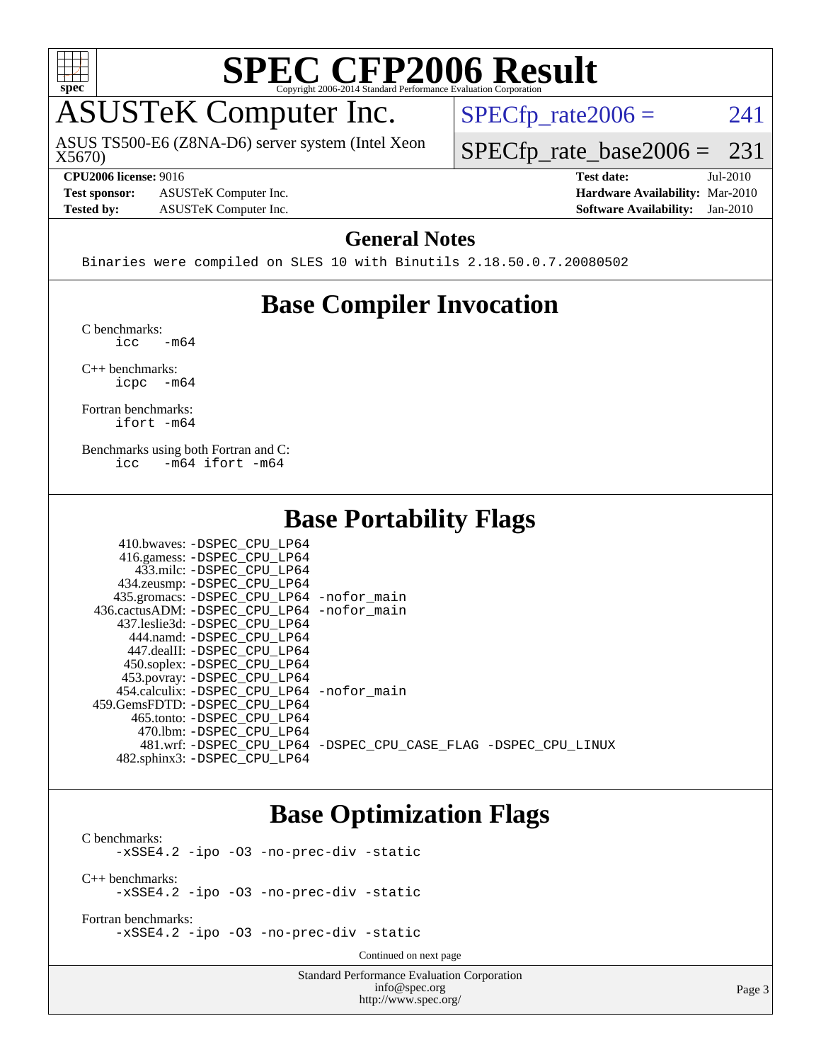

## ASUSTeK Computer Inc.

X5670) ASUS TS500-E6 (Z8NA-D6) server system (Intel Xeon  $SPECTp_rate2006 = 241$ 

[SPECfp\\_rate\\_base2006 =](http://www.spec.org/auto/cpu2006/Docs/result-fields.html#SPECfpratebase2006) 231

**[Test sponsor:](http://www.spec.org/auto/cpu2006/Docs/result-fields.html#Testsponsor)** ASUSTeK Computer Inc. **[Hardware Availability:](http://www.spec.org/auto/cpu2006/Docs/result-fields.html#HardwareAvailability)** Mar-2010

**[CPU2006 license:](http://www.spec.org/auto/cpu2006/Docs/result-fields.html#CPU2006license)** 9016 **[Test date:](http://www.spec.org/auto/cpu2006/Docs/result-fields.html#Testdate)** Jul-2010 **[Tested by:](http://www.spec.org/auto/cpu2006/Docs/result-fields.html#Testedby)** ASUSTeK Computer Inc. **[Software Availability:](http://www.spec.org/auto/cpu2006/Docs/result-fields.html#SoftwareAvailability)** Jan-2010

#### **[General Notes](http://www.spec.org/auto/cpu2006/Docs/result-fields.html#GeneralNotes)**

Binaries were compiled on SLES 10 with Binutils 2.18.50.0.7.20080502

## **[Base Compiler Invocation](http://www.spec.org/auto/cpu2006/Docs/result-fields.html#BaseCompilerInvocation)**

[C benchmarks](http://www.spec.org/auto/cpu2006/Docs/result-fields.html#Cbenchmarks):  $\text{icc}$   $-\text{m64}$ 

[C++ benchmarks:](http://www.spec.org/auto/cpu2006/Docs/result-fields.html#CXXbenchmarks) [icpc -m64](http://www.spec.org/cpu2006/results/res2010q3/cpu2006-20100730-12709.flags.html#user_CXXbase_intel_icpc_64bit_bedb90c1146cab66620883ef4f41a67e)

[Fortran benchmarks](http://www.spec.org/auto/cpu2006/Docs/result-fields.html#Fortranbenchmarks): [ifort -m64](http://www.spec.org/cpu2006/results/res2010q3/cpu2006-20100730-12709.flags.html#user_FCbase_intel_ifort_64bit_ee9d0fb25645d0210d97eb0527dcc06e)

[Benchmarks using both Fortran and C](http://www.spec.org/auto/cpu2006/Docs/result-fields.html#BenchmarksusingbothFortranandC): [icc -m64](http://www.spec.org/cpu2006/results/res2010q3/cpu2006-20100730-12709.flags.html#user_CC_FCbase_intel_icc_64bit_0b7121f5ab7cfabee23d88897260401c) [ifort -m64](http://www.spec.org/cpu2006/results/res2010q3/cpu2006-20100730-12709.flags.html#user_CC_FCbase_intel_ifort_64bit_ee9d0fb25645d0210d97eb0527dcc06e)

## **[Base Portability Flags](http://www.spec.org/auto/cpu2006/Docs/result-fields.html#BasePortabilityFlags)**

| 410.bwaves: -DSPEC CPU LP64                |                                                                |
|--------------------------------------------|----------------------------------------------------------------|
| 416.gamess: -DSPEC_CPU_LP64                |                                                                |
| 433.milc: -DSPEC CPU LP64                  |                                                                |
| 434.zeusmp: -DSPEC_CPU_LP64                |                                                                |
| 435.gromacs: -DSPEC_CPU_LP64 -nofor_main   |                                                                |
| 436.cactusADM: -DSPEC CPU LP64 -nofor main |                                                                |
| 437.leslie3d: -DSPEC CPU LP64              |                                                                |
| 444.namd: -DSPEC CPU LP64                  |                                                                |
| 447.dealII: -DSPEC CPU LP64                |                                                                |
| 450.soplex: -DSPEC_CPU_LP64                |                                                                |
| 453.povray: -DSPEC_CPU_LP64                |                                                                |
| 454.calculix: -DSPEC CPU LP64 -nofor main  |                                                                |
| 459.GemsFDTD: -DSPEC CPU LP64              |                                                                |
| 465.tonto: - DSPEC CPU LP64                |                                                                |
| 470.1bm: - DSPEC CPU LP64                  |                                                                |
|                                            | 481.wrf: -DSPEC CPU_LP64 -DSPEC_CPU_CASE_FLAG -DSPEC_CPU_LINUX |
| 482.sphinx3: -DSPEC CPU LP64               |                                                                |

## **[Base Optimization Flags](http://www.spec.org/auto/cpu2006/Docs/result-fields.html#BaseOptimizationFlags)**

[C benchmarks](http://www.spec.org/auto/cpu2006/Docs/result-fields.html#Cbenchmarks): [-xSSE4.2](http://www.spec.org/cpu2006/results/res2010q3/cpu2006-20100730-12709.flags.html#user_CCbase_f-xSSE42_f91528193cf0b216347adb8b939d4107) [-ipo](http://www.spec.org/cpu2006/results/res2010q3/cpu2006-20100730-12709.flags.html#user_CCbase_f-ipo) [-O3](http://www.spec.org/cpu2006/results/res2010q3/cpu2006-20100730-12709.flags.html#user_CCbase_f-O3) [-no-prec-div](http://www.spec.org/cpu2006/results/res2010q3/cpu2006-20100730-12709.flags.html#user_CCbase_f-no-prec-div) [-static](http://www.spec.org/cpu2006/results/res2010q3/cpu2006-20100730-12709.flags.html#user_CCbase_f-static) [C++ benchmarks:](http://www.spec.org/auto/cpu2006/Docs/result-fields.html#CXXbenchmarks) [-xSSE4.2](http://www.spec.org/cpu2006/results/res2010q3/cpu2006-20100730-12709.flags.html#user_CXXbase_f-xSSE42_f91528193cf0b216347adb8b939d4107) [-ipo](http://www.spec.org/cpu2006/results/res2010q3/cpu2006-20100730-12709.flags.html#user_CXXbase_f-ipo) [-O3](http://www.spec.org/cpu2006/results/res2010q3/cpu2006-20100730-12709.flags.html#user_CXXbase_f-O3) [-no-prec-div](http://www.spec.org/cpu2006/results/res2010q3/cpu2006-20100730-12709.flags.html#user_CXXbase_f-no-prec-div) [-static](http://www.spec.org/cpu2006/results/res2010q3/cpu2006-20100730-12709.flags.html#user_CXXbase_f-static)

[Fortran benchmarks](http://www.spec.org/auto/cpu2006/Docs/result-fields.html#Fortranbenchmarks): [-xSSE4.2](http://www.spec.org/cpu2006/results/res2010q3/cpu2006-20100730-12709.flags.html#user_FCbase_f-xSSE42_f91528193cf0b216347adb8b939d4107) [-ipo](http://www.spec.org/cpu2006/results/res2010q3/cpu2006-20100730-12709.flags.html#user_FCbase_f-ipo) [-O3](http://www.spec.org/cpu2006/results/res2010q3/cpu2006-20100730-12709.flags.html#user_FCbase_f-O3) [-no-prec-div](http://www.spec.org/cpu2006/results/res2010q3/cpu2006-20100730-12709.flags.html#user_FCbase_f-no-prec-div) [-static](http://www.spec.org/cpu2006/results/res2010q3/cpu2006-20100730-12709.flags.html#user_FCbase_f-static)

Continued on next page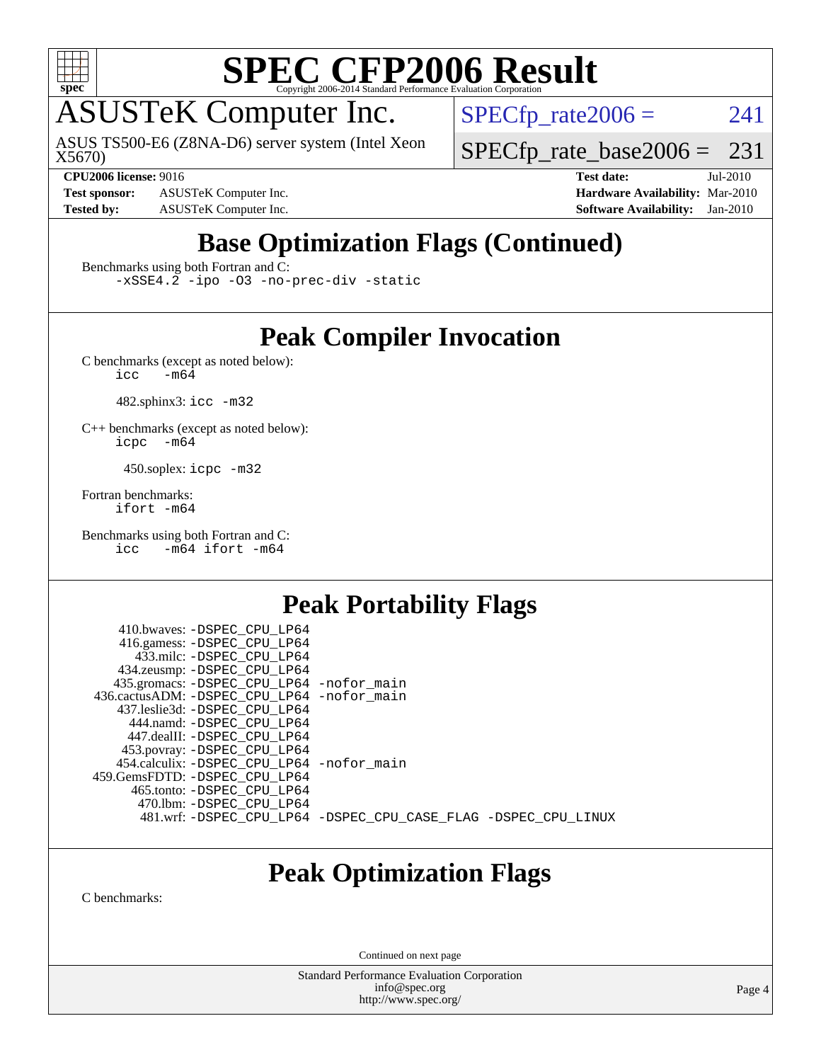

## ASUSTeK Computer Inc.

X5670) ASUS TS500-E6 (Z8NA-D6) server system (Intel Xeon  $SPECTp_rate2006 = 241$ 

[SPECfp\\_rate\\_base2006 =](http://www.spec.org/auto/cpu2006/Docs/result-fields.html#SPECfpratebase2006) 231

**[Test sponsor:](http://www.spec.org/auto/cpu2006/Docs/result-fields.html#Testsponsor)** ASUSTeK Computer Inc. **[Hardware Availability:](http://www.spec.org/auto/cpu2006/Docs/result-fields.html#HardwareAvailability)** Mar-2010

**[CPU2006 license:](http://www.spec.org/auto/cpu2006/Docs/result-fields.html#CPU2006license)** 9016 **[Test date:](http://www.spec.org/auto/cpu2006/Docs/result-fields.html#Testdate)** Jul-2010 **[Tested by:](http://www.spec.org/auto/cpu2006/Docs/result-fields.html#Testedby)** ASUSTeK Computer Inc. **[Software Availability:](http://www.spec.org/auto/cpu2006/Docs/result-fields.html#SoftwareAvailability)** Jan-2010

## **[Base Optimization Flags \(Continued\)](http://www.spec.org/auto/cpu2006/Docs/result-fields.html#BaseOptimizationFlags)**

[Benchmarks using both Fortran and C](http://www.spec.org/auto/cpu2006/Docs/result-fields.html#BenchmarksusingbothFortranandC):

[-xSSE4.2](http://www.spec.org/cpu2006/results/res2010q3/cpu2006-20100730-12709.flags.html#user_CC_FCbase_f-xSSE42_f91528193cf0b216347adb8b939d4107) [-ipo](http://www.spec.org/cpu2006/results/res2010q3/cpu2006-20100730-12709.flags.html#user_CC_FCbase_f-ipo) [-O3](http://www.spec.org/cpu2006/results/res2010q3/cpu2006-20100730-12709.flags.html#user_CC_FCbase_f-O3) [-no-prec-div](http://www.spec.org/cpu2006/results/res2010q3/cpu2006-20100730-12709.flags.html#user_CC_FCbase_f-no-prec-div) [-static](http://www.spec.org/cpu2006/results/res2010q3/cpu2006-20100730-12709.flags.html#user_CC_FCbase_f-static)

## **[Peak Compiler Invocation](http://www.spec.org/auto/cpu2006/Docs/result-fields.html#PeakCompilerInvocation)**

[C benchmarks \(except as noted below\)](http://www.spec.org/auto/cpu2006/Docs/result-fields.html#Cbenchmarksexceptasnotedbelow):<br> $\frac{1}{\text{CC}}$  -m64  $-m64$ 

482.sphinx3: [icc -m32](http://www.spec.org/cpu2006/results/res2010q3/cpu2006-20100730-12709.flags.html#user_peakCCLD482_sphinx3_intel_icc_32bit_a6a621f8d50482236b970c6ac5f55f93)

[C++ benchmarks \(except as noted below\):](http://www.spec.org/auto/cpu2006/Docs/result-fields.html#CXXbenchmarksexceptasnotedbelow) [icpc -m64](http://www.spec.org/cpu2006/results/res2010q3/cpu2006-20100730-12709.flags.html#user_CXXpeak_intel_icpc_64bit_bedb90c1146cab66620883ef4f41a67e)

450.soplex: [icpc -m32](http://www.spec.org/cpu2006/results/res2010q3/cpu2006-20100730-12709.flags.html#user_peakCXXLD450_soplex_intel_icpc_32bit_4e5a5ef1a53fd332b3c49e69c3330699)

[Fortran benchmarks](http://www.spec.org/auto/cpu2006/Docs/result-fields.html#Fortranbenchmarks): [ifort -m64](http://www.spec.org/cpu2006/results/res2010q3/cpu2006-20100730-12709.flags.html#user_FCpeak_intel_ifort_64bit_ee9d0fb25645d0210d97eb0527dcc06e)

[Benchmarks using both Fortran and C](http://www.spec.org/auto/cpu2006/Docs/result-fields.html#BenchmarksusingbothFortranandC): [icc -m64](http://www.spec.org/cpu2006/results/res2010q3/cpu2006-20100730-12709.flags.html#user_CC_FCpeak_intel_icc_64bit_0b7121f5ab7cfabee23d88897260401c) [ifort -m64](http://www.spec.org/cpu2006/results/res2010q3/cpu2006-20100730-12709.flags.html#user_CC_FCpeak_intel_ifort_64bit_ee9d0fb25645d0210d97eb0527dcc06e)

## **[Peak Portability Flags](http://www.spec.org/auto/cpu2006/Docs/result-fields.html#PeakPortabilityFlags)**

 410.bwaves: [-DSPEC\\_CPU\\_LP64](http://www.spec.org/cpu2006/results/res2010q3/cpu2006-20100730-12709.flags.html#suite_peakPORTABILITY410_bwaves_DSPEC_CPU_LP64) 416.gamess: [-DSPEC\\_CPU\\_LP64](http://www.spec.org/cpu2006/results/res2010q3/cpu2006-20100730-12709.flags.html#suite_peakPORTABILITY416_gamess_DSPEC_CPU_LP64) 433.milc: [-DSPEC\\_CPU\\_LP64](http://www.spec.org/cpu2006/results/res2010q3/cpu2006-20100730-12709.flags.html#suite_peakPORTABILITY433_milc_DSPEC_CPU_LP64) 434.zeusmp: [-DSPEC\\_CPU\\_LP64](http://www.spec.org/cpu2006/results/res2010q3/cpu2006-20100730-12709.flags.html#suite_peakPORTABILITY434_zeusmp_DSPEC_CPU_LP64) 435.gromacs: [-DSPEC\\_CPU\\_LP64](http://www.spec.org/cpu2006/results/res2010q3/cpu2006-20100730-12709.flags.html#suite_peakPORTABILITY435_gromacs_DSPEC_CPU_LP64) [-nofor\\_main](http://www.spec.org/cpu2006/results/res2010q3/cpu2006-20100730-12709.flags.html#user_peakLDPORTABILITY435_gromacs_f-nofor_main) 436.cactusADM: [-DSPEC\\_CPU\\_LP64](http://www.spec.org/cpu2006/results/res2010q3/cpu2006-20100730-12709.flags.html#suite_peakPORTABILITY436_cactusADM_DSPEC_CPU_LP64) [-nofor\\_main](http://www.spec.org/cpu2006/results/res2010q3/cpu2006-20100730-12709.flags.html#user_peakLDPORTABILITY436_cactusADM_f-nofor_main) 437.leslie3d: [-DSPEC\\_CPU\\_LP64](http://www.spec.org/cpu2006/results/res2010q3/cpu2006-20100730-12709.flags.html#suite_peakPORTABILITY437_leslie3d_DSPEC_CPU_LP64) 444.namd: [-DSPEC\\_CPU\\_LP64](http://www.spec.org/cpu2006/results/res2010q3/cpu2006-20100730-12709.flags.html#suite_peakPORTABILITY444_namd_DSPEC_CPU_LP64) 447.dealII: [-DSPEC\\_CPU\\_LP64](http://www.spec.org/cpu2006/results/res2010q3/cpu2006-20100730-12709.flags.html#suite_peakPORTABILITY447_dealII_DSPEC_CPU_LP64) 453.povray: [-DSPEC\\_CPU\\_LP64](http://www.spec.org/cpu2006/results/res2010q3/cpu2006-20100730-12709.flags.html#suite_peakPORTABILITY453_povray_DSPEC_CPU_LP64) 454.calculix: [-DSPEC\\_CPU\\_LP64](http://www.spec.org/cpu2006/results/res2010q3/cpu2006-20100730-12709.flags.html#suite_peakPORTABILITY454_calculix_DSPEC_CPU_LP64) [-nofor\\_main](http://www.spec.org/cpu2006/results/res2010q3/cpu2006-20100730-12709.flags.html#user_peakLDPORTABILITY454_calculix_f-nofor_main) 459.GemsFDTD: [-DSPEC\\_CPU\\_LP64](http://www.spec.org/cpu2006/results/res2010q3/cpu2006-20100730-12709.flags.html#suite_peakPORTABILITY459_GemsFDTD_DSPEC_CPU_LP64) 465.tonto: [-DSPEC\\_CPU\\_LP64](http://www.spec.org/cpu2006/results/res2010q3/cpu2006-20100730-12709.flags.html#suite_peakPORTABILITY465_tonto_DSPEC_CPU_LP64) 470.lbm: [-DSPEC\\_CPU\\_LP64](http://www.spec.org/cpu2006/results/res2010q3/cpu2006-20100730-12709.flags.html#suite_peakPORTABILITY470_lbm_DSPEC_CPU_LP64) 481.wrf: [-DSPEC\\_CPU\\_LP64](http://www.spec.org/cpu2006/results/res2010q3/cpu2006-20100730-12709.flags.html#suite_peakPORTABILITY481_wrf_DSPEC_CPU_LP64) [-DSPEC\\_CPU\\_CASE\\_FLAG](http://www.spec.org/cpu2006/results/res2010q3/cpu2006-20100730-12709.flags.html#b481.wrf_peakCPORTABILITY_DSPEC_CPU_CASE_FLAG) [-DSPEC\\_CPU\\_LINUX](http://www.spec.org/cpu2006/results/res2010q3/cpu2006-20100730-12709.flags.html#b481.wrf_peakCPORTABILITY_DSPEC_CPU_LINUX)

## **[Peak Optimization Flags](http://www.spec.org/auto/cpu2006/Docs/result-fields.html#PeakOptimizationFlags)**

[C benchmarks](http://www.spec.org/auto/cpu2006/Docs/result-fields.html#Cbenchmarks):

Continued on next page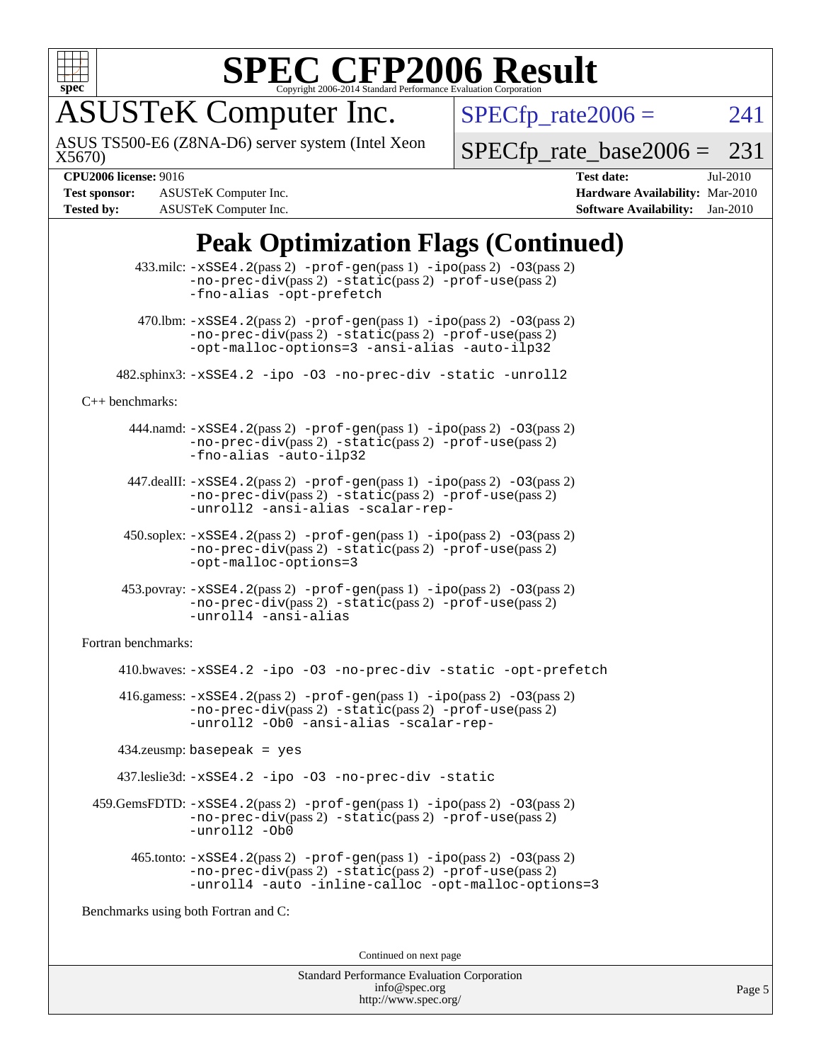

## ASUSTeK Computer Inc.

X5670) ASUS TS500-E6 (Z8NA-D6) server system (Intel Xeon  $SPECTp_rate2006 = 241$ 

[SPECfp\\_rate\\_base2006 =](http://www.spec.org/auto/cpu2006/Docs/result-fields.html#SPECfpratebase2006) 231

**[Tested by:](http://www.spec.org/auto/cpu2006/Docs/result-fields.html#Testedby)** ASUSTeK Computer Inc. **[Software Availability:](http://www.spec.org/auto/cpu2006/Docs/result-fields.html#SoftwareAvailability)** Jan-2010

**[CPU2006 license:](http://www.spec.org/auto/cpu2006/Docs/result-fields.html#CPU2006license)** 9016 **[Test date:](http://www.spec.org/auto/cpu2006/Docs/result-fields.html#Testdate)** Jul-2010 **[Test sponsor:](http://www.spec.org/auto/cpu2006/Docs/result-fields.html#Testsponsor)** ASUSTeK Computer Inc. **[Hardware Availability:](http://www.spec.org/auto/cpu2006/Docs/result-fields.html#HardwareAvailability)** Mar-2010

## **[Peak Optimization Flags \(Continued\)](http://www.spec.org/auto/cpu2006/Docs/result-fields.html#PeakOptimizationFlags)**

|                                      | $433 \text{.}$ milc: $-xSSE4$ . $2(pass 2)$ -prof-gen $(pass 1)$ -ipo $(pass 2)$ -03 $(pass 2)$<br>$-no-prec-div(pass 2) -static(pass 2) -prof-use(pass 2)$<br>-fno-alias -opt-prefetch                                  |  |
|--------------------------------------|--------------------------------------------------------------------------------------------------------------------------------------------------------------------------------------------------------------------------|--|
|                                      | $470.$ Ibm: $-xSSE4$ . $2(pass 2)$ $-prof-gen(pass 1)$ $-ipo(pass 2)$ $-03(pass 2)$<br>$-no-prec-div(pass 2) -static(pass 2) -prot-use(pass 2)$<br>-opt-malloc-options=3 -ansi-alias -auto-ilp32                         |  |
|                                      | 482.sphinx3: -xSSE4.2 -ipo -03 -no-prec-div -static -unroll2                                                                                                                                                             |  |
| $C++$ benchmarks:                    |                                                                                                                                                                                                                          |  |
|                                      | $444$ .namd: $-xSSE4$ . $2(pass 2)$ -prof-gen(pass 1) -ipo(pass 2) -03(pass 2)<br>-no-prec-div(pass 2) -static(pass 2) -prof-use(pass 2)<br>-fno-alias -auto-ilp32                                                       |  |
|                                      | 447.dealII: -xSSE4.2(pass 2) -prof-gen(pass 1) -ipo(pass 2) -03(pass 2)<br>-no-prec-div(pass 2) -static(pass 2) -prof-use(pass 2)<br>-unroll2 -ansi-alias -scalar-rep-                                                   |  |
|                                      | $450.\text{soplex: } -x\text{SSE4}.2(\text{pass 2}) -\text{prof-gen}(\text{pass 1}) - \text{ipo}(\text{pass 2}) -03(\text{pass 2})$<br>$-no-prec-div(pass 2) -static(pass 2) -prof-use(pass 2)$<br>-opt-malloc-options=3 |  |
|                                      | $453.$ povray: $-xSSE4$ . $2(pass 2)$ -prof-gen $(pass 1)$ -ipo $(pass 2)$ -03 $(pass 2)$<br>$-no-prec-div(pass 2) -static(pass 2) -prof-use(pass 2)$<br>-unroll4 -ansi-alias                                            |  |
| Fortran benchmarks:                  |                                                                                                                                                                                                                          |  |
|                                      | 410.bwaves: -xSSE4.2 -ipo -03 -no-prec-div -static -opt-prefetch                                                                                                                                                         |  |
|                                      | 416.gamess: $-xSSE4$ . 2(pass 2) $-prof-gen(pass 1) -ipo(pass 2) -O3(pass 2)$<br>-no-prec-div(pass 2) -static(pass 2) -prof-use(pass 2)<br>-unroll2 -Ob0 -ansi-alias -scalar-rep-                                        |  |
| $434$ .zeusmp: basepeak = yes        |                                                                                                                                                                                                                          |  |
|                                      | 437.leslie3d: -xSSE4.2 -ipo -03 -no-prec-div -static                                                                                                                                                                     |  |
|                                      | 459. GemsFDTD: -xSSE4. 2(pass 2) -prof-gen(pass 1) -ipo(pass 2) -03(pass 2)<br>$-no-prec-div(pass 2) -static(pass 2) -prot-use(pass 2)$<br>-unroll2 -Ob0                                                                 |  |
|                                      | 465.tonto: -xSSE4.2(pass 2) -prof-gen(pass 1) -ipo(pass 2) -03(pass 2)<br>-no-prec-div(pass 2) -static(pass 2) -prof-use(pass 2)<br>-unroll4 -auto -inline-calloc -opt-malloc-options=3                                  |  |
| Benchmarks using both Fortran and C: |                                                                                                                                                                                                                          |  |
| Continued on next page               |                                                                                                                                                                                                                          |  |
|                                      |                                                                                                                                                                                                                          |  |